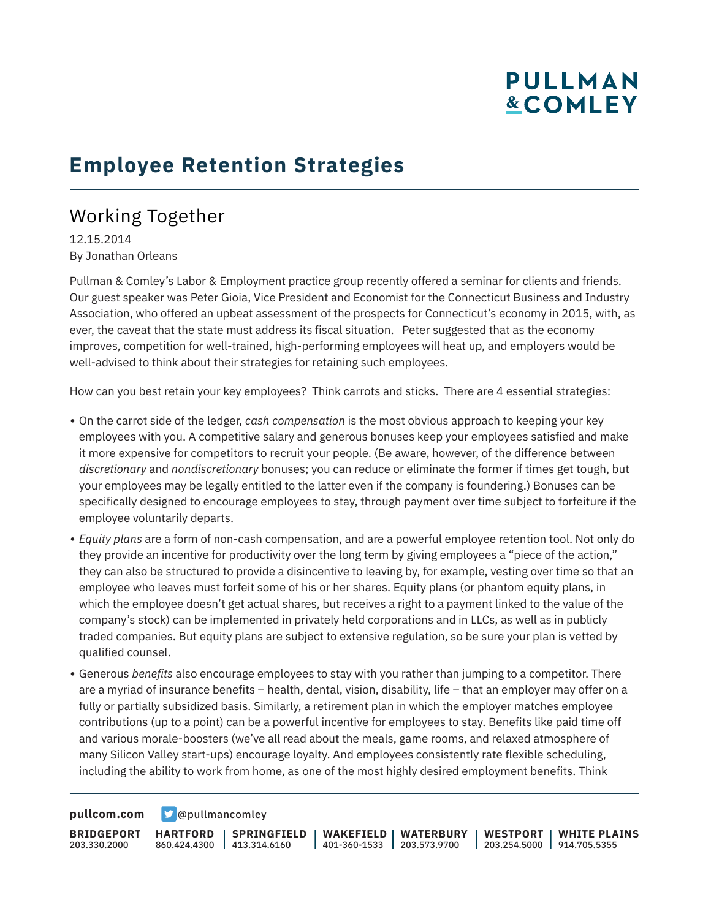# **PULLMAN &COMLEY**

## **Employee Retention Strategies**

### Working Together

12.15.2014 By Jonathan Orleans

Pullman & Comley's Labor & Employment practice group recently offered a seminar for clients and friends. Our guest speaker was Peter Gioia, Vice President and Economist for the Connecticut Business and Industry Association, who offered an upbeat assessment of the prospects for Connecticut's economy in 2015, with, as ever, the caveat that the state must address its fiscal situation. Peter suggested that as the economy improves, competition for well-trained, high-performing employees will heat up, and employers would be well-advised to think about their strategies for retaining such employees.

How can you best retain your key employees? Think carrots and sticks. There are 4 essential strategies:

- On the carrot side of the ledger, *cash compensation* is the most obvious approach to keeping your key employees with you. A competitive salary and generous bonuses keep your employees satisfied and make it more expensive for competitors to recruit your people. (Be aware, however, of the difference between *discretionary* and *nondiscretionary* bonuses; you can reduce or eliminate the former if times get tough, but your employees may be legally entitled to the latter even if the company is foundering.) Bonuses can be specifically designed to encourage employees to stay, through payment over time subject to forfeiture if the employee voluntarily departs.
- *Equity plans* are a form of non-cash compensation, and are a powerful employee retention tool. Not only do they provide an incentive for productivity over the long term by giving employees a "piece of the action," they can also be structured to provide a disincentive to leaving by, for example, vesting over time so that an employee who leaves must forfeit some of his or her shares. Equity plans (or phantom equity plans, in which the employee doesn't get actual shares, but receives a right to a payment linked to the value of the company's stock) can be implemented in privately held corporations and in LLCs, as well as in publicly traded companies. But equity plans are subject to extensive regulation, so be sure your plan is vetted by qualified counsel.
- Generous *benefits* also encourage employees to stay with you rather than jumping to a competitor. There are a myriad of insurance benefits – health, dental, vision, disability, life – that an employer may offer on a fully or partially subsidized basis. Similarly, a retirement plan in which the employer matches employee contributions (up to a point) can be a powerful incentive for employees to stay. Benefits like paid time off and various morale-boosters (we've all read about the meals, game rooms, and relaxed atmosphere of many Silicon Valley start-ups) encourage loyalty. And employees consistently rate flexible scheduling, including the ability to work from home, as one of the most highly desired employment benefits. Think

**[pullcom.com](https://www.pullcom.com) g** [@pullmancomley](https://twitter.com/PullmanComley)

**BRIDGEPORT** 203.330.2000 **HARTFORD** 860.424.4300 413.314.6160 **SPRINGFIELD WAKEFIELD WATERBURY** 401-360-1533 203.573.9700 **WESTPORT WHITE PLAINS** 203.254.5000 914.705.5355